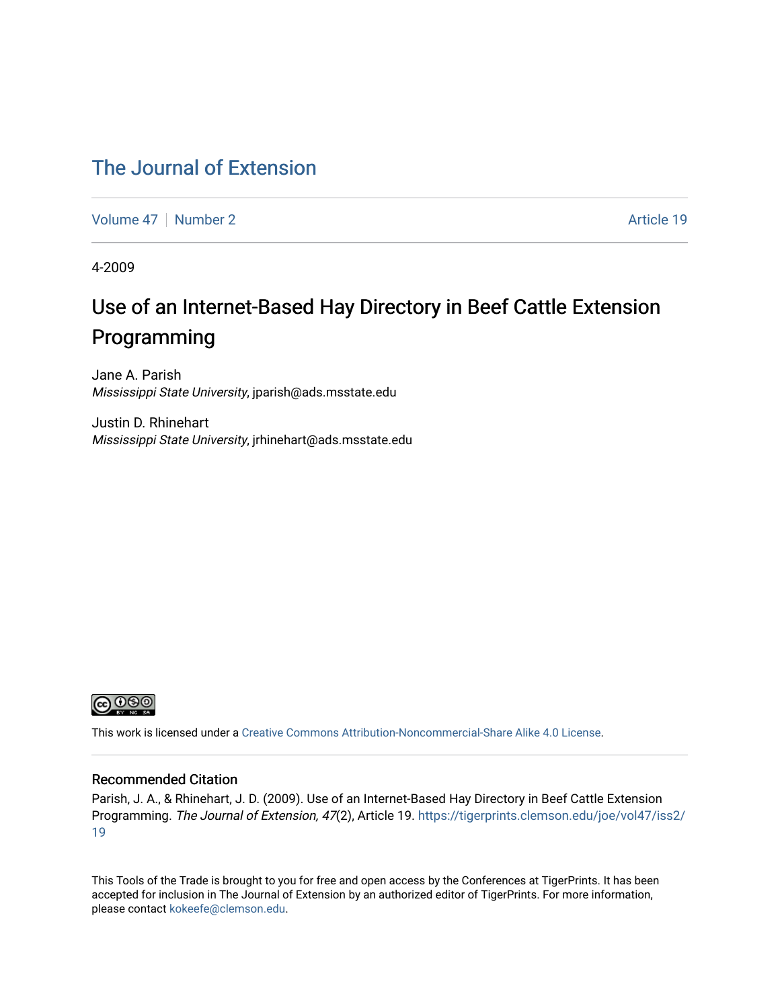### [The Journal of Extension](https://tigerprints.clemson.edu/joe)

[Volume 47](https://tigerprints.clemson.edu/joe/vol47) | [Number 2](https://tigerprints.clemson.edu/joe/vol47/iss2) Article 19

4-2009

## Use of an Internet-Based Hay Directory in Beef Cattle Extension Programming

Jane A. Parish Mississippi State University, jparish@ads.msstate.edu

Justin D. Rhinehart Mississippi State University, jrhinehart@ads.msstate.edu



This work is licensed under a [Creative Commons Attribution-Noncommercial-Share Alike 4.0 License.](https://creativecommons.org/licenses/by-nc-sa/4.0/)

#### Recommended Citation

Parish, J. A., & Rhinehart, J. D. (2009). Use of an Internet-Based Hay Directory in Beef Cattle Extension Programming. The Journal of Extension, 47(2), Article 19. [https://tigerprints.clemson.edu/joe/vol47/iss2/](https://tigerprints.clemson.edu/joe/vol47/iss2/19) [19](https://tigerprints.clemson.edu/joe/vol47/iss2/19)

This Tools of the Trade is brought to you for free and open access by the Conferences at TigerPrints. It has been accepted for inclusion in The Journal of Extension by an authorized editor of TigerPrints. For more information, please contact [kokeefe@clemson.edu](mailto:kokeefe@clemson.edu).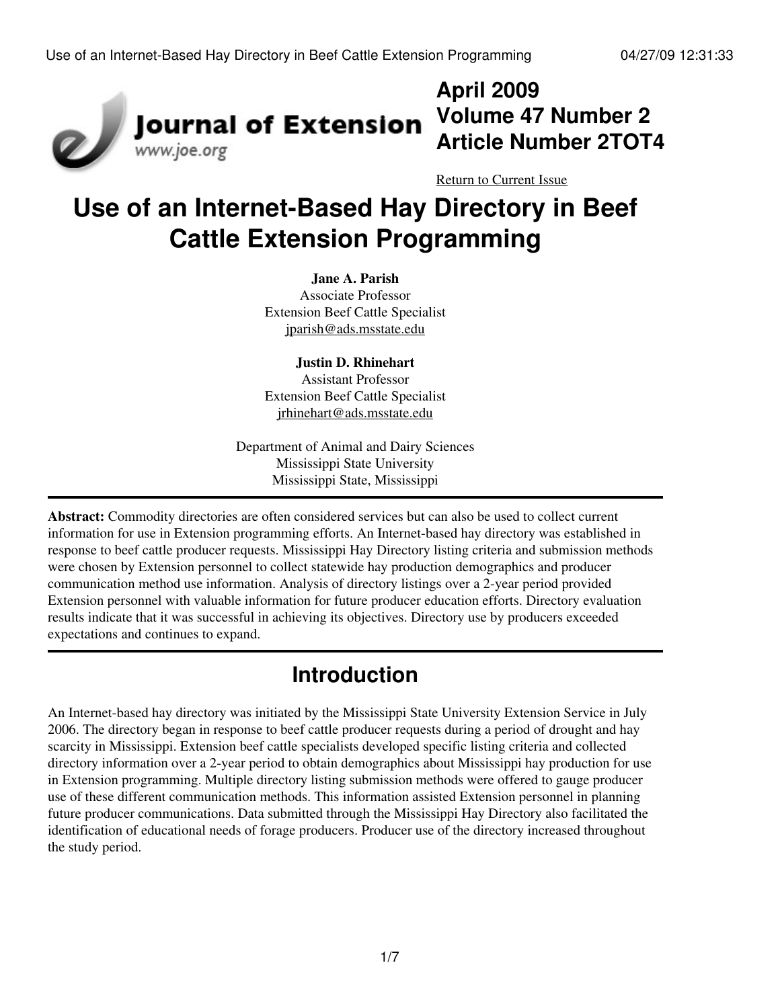

## **April 2009 Volume 47 Number 2 Article Number 2TOT4**

[Return to Current Issue](http://www.joe.org:80/joe/2009april/)

# **Use of an Internet-Based Hay Directory in Beef Cattle Extension Programming**

#### **Jane A. Parish**

Associate Professor Extension Beef Cattle Specialist [jparish@ads.msstate.edu](mailto:jparish@ads.msstate.edu)

**Justin D. Rhinehart**

Assistant Professor Extension Beef Cattle Specialist [jrhinehart@ads.msstate.edu](mailto:jrhinehart@ads.msstate.edu)

Department of Animal and Dairy Sciences Mississippi State University Mississippi State, Mississippi

**Abstract:** Commodity directories are often considered services but can also be used to collect current information for use in Extension programming efforts. An Internet-based hay directory was established in response to beef cattle producer requests. Mississippi Hay Directory listing criteria and submission methods were chosen by Extension personnel to collect statewide hay production demographics and producer communication method use information. Analysis of directory listings over a 2-year period provided Extension personnel with valuable information for future producer education efforts. Directory evaluation results indicate that it was successful in achieving its objectives. Directory use by producers exceeded expectations and continues to expand.

## **Introduction**

An Internet-based hay directory was initiated by the Mississippi State University Extension Service in July 2006. The directory began in response to beef cattle producer requests during a period of drought and hay scarcity in Mississippi. Extension beef cattle specialists developed specific listing criteria and collected directory information over a 2-year period to obtain demographics about Mississippi hay production for use in Extension programming. Multiple directory listing submission methods were offered to gauge producer use of these different communication methods. This information assisted Extension personnel in planning future producer communications. Data submitted through the Mississippi Hay Directory also facilitated the identification of educational needs of forage producers. Producer use of the directory increased throughout the study period.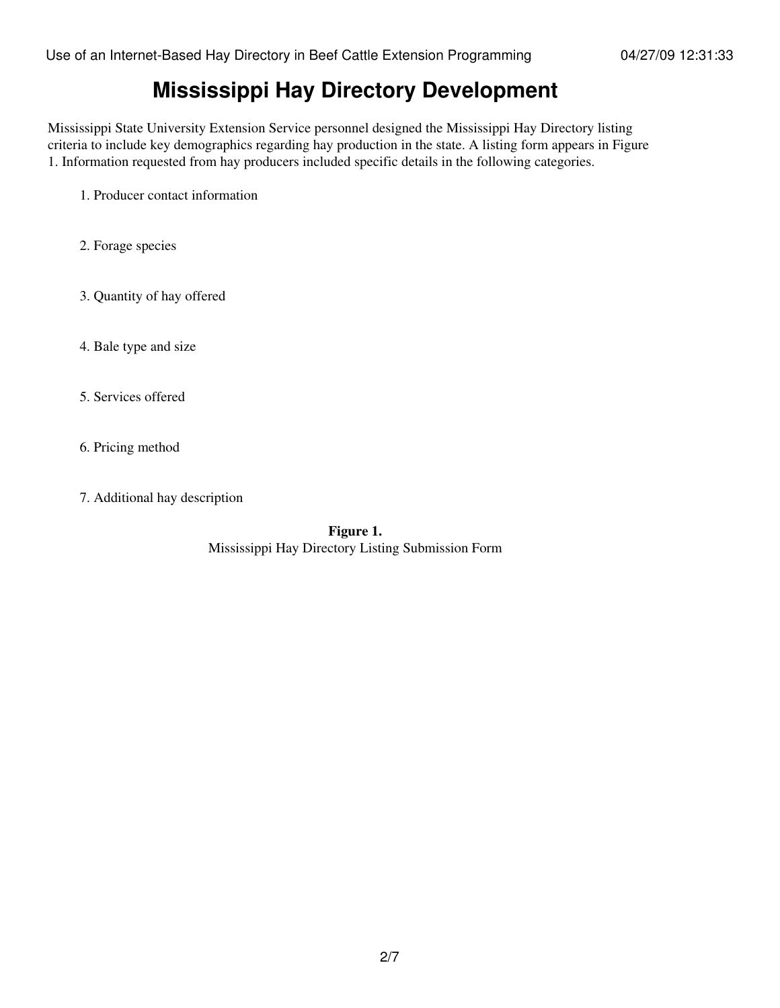### **Mississippi Hay Directory Development**

Mississippi State University Extension Service personnel designed the Mississippi Hay Directory listing criteria to include key demographics regarding hay production in the state. A listing form appears in Figure 1. Information requested from hay producers included specific details in the following categories.

- 1. Producer contact information
- 2. Forage species
- 3. Quantity of hay offered
- 4. Bale type and size
- 5. Services offered
- 6. Pricing method
- 7. Additional hay description

**Figure 1.** Mississippi Hay Directory Listing Submission Form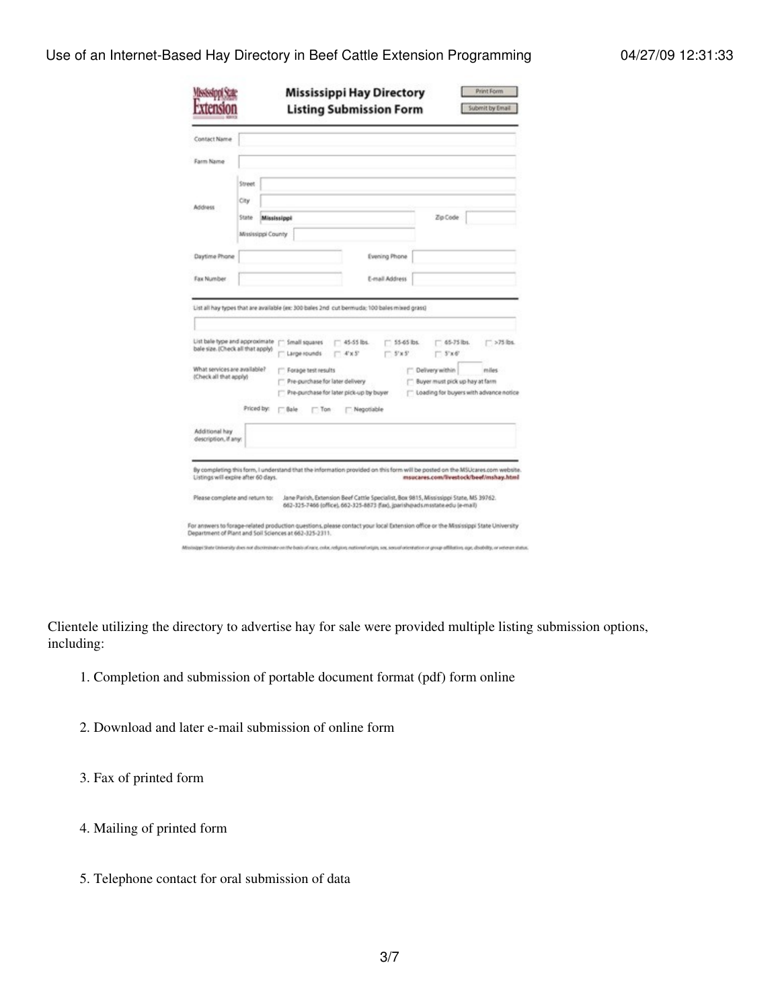#### Use of an Internet-Based Hay Directory in Beef Cattle Extension Programming 04/27/09 12:31:33

|                                                                                                                                                                                                                                             |                    |             |        |                                                      | <b>Listing Submission Form</b>                                  |                      |                        |                                                                              | Submit by Email                          |
|---------------------------------------------------------------------------------------------------------------------------------------------------------------------------------------------------------------------------------------------|--------------------|-------------|--------|------------------------------------------------------|-----------------------------------------------------------------|----------------------|------------------------|------------------------------------------------------------------------------|------------------------------------------|
| Contact Name                                                                                                                                                                                                                                |                    |             |        |                                                      |                                                                 |                      |                        |                                                                              |                                          |
| Farm Name                                                                                                                                                                                                                                   |                    |             |        |                                                      |                                                                 |                      |                        |                                                                              |                                          |
|                                                                                                                                                                                                                                             | Street<br>City     |             |        |                                                      |                                                                 |                      |                        |                                                                              |                                          |
| Address                                                                                                                                                                                                                                     | State              | Mississippi |        |                                                      |                                                                 |                      |                        | Zip Code                                                                     |                                          |
|                                                                                                                                                                                                                                             | Mississippi County |             |        |                                                      |                                                                 |                      |                        |                                                                              |                                          |
| Daytime Phone                                                                                                                                                                                                                               |                    |             |        |                                                      |                                                                 | <b>Evening Phone</b> |                        |                                                                              |                                          |
|                                                                                                                                                                                                                                             |                    |             |        |                                                      |                                                                 | E-mail Address       |                        |                                                                              |                                          |
|                                                                                                                                                                                                                                             |                    |             |        |                                                      |                                                                 |                      |                        |                                                                              |                                          |
| Fax Number<br>List all hay types that are available (ex: 300 bales 2nd cut bermuda; 100 bales mixed grass)<br>List bale type and approximate<br>bale size. (Check all that apply)<br>What services are available?<br>(Check all that apply) |                    |             |        | Small squares<br>Large rounds<br>Forage test results | 45-55 lbs.<br>$4' \times 5'$<br>Pre-purchase for later delivery |                      | $-$ 55-65 lbs.<br>75x5 | $-65-75$ lbs.<br>$-5x6$<br>Delivery within<br>Buyer must pick up hay at farm | $575$ lbs.<br>miles                      |
|                                                                                                                                                                                                                                             | Priced by:         |             |        | $\Box$ Ton                                           | Pre-purchase for later pick-up by buyer<br>Negotiable           |                      |                        |                                                                              | C Loading for buyers with advance notice |
| Additional hay<br>description, if any:                                                                                                                                                                                                      |                    |             | " Bale |                                                      |                                                                 |                      |                        |                                                                              |                                          |
| By completing this form, I understand that the information provided on this form will be posted on the MSUcares.com website.<br>Listings will expire after 60 days.                                                                         |                    |             |        |                                                      |                                                                 |                      |                        |                                                                              | msucares.com/livestock/beef/mshay.html   |

Clientele utilizing the directory to advertise hay for sale were provided multiple listing submission options, including:

- 1. Completion and submission of portable document format (pdf) form online
- 2. Download and later e-mail submission of online form

3. Fax of printed form

- 4. Mailing of printed form
- 5. Telephone contact for oral submission of data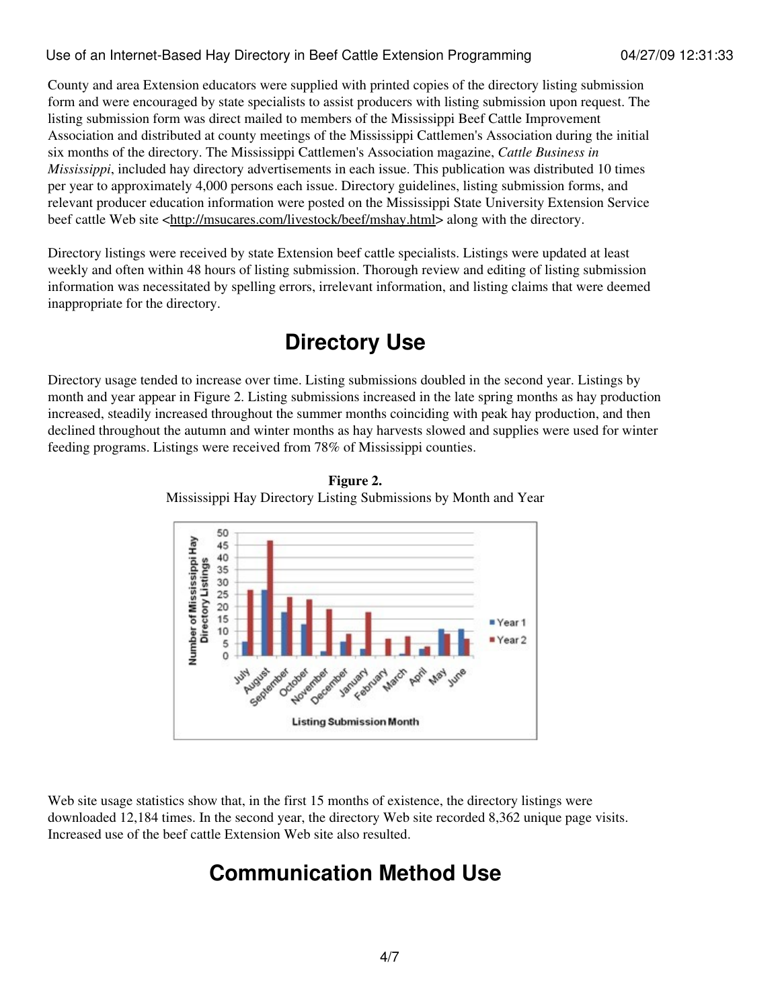Use of an Internet-Based Hay Directory in Beef Cattle Extension Programming 04/27/09 12:31:33

County and area Extension educators were supplied with printed copies of the directory listing submission form and were encouraged by state specialists to assist producers with listing submission upon request. The listing submission form was direct mailed to members of the Mississippi Beef Cattle Improvement Association and distributed at county meetings of the Mississippi Cattlemen's Association during the initial six months of the directory. The Mississippi Cattlemen's Association magazine, *Cattle Business in Mississippi*, included hay directory advertisements in each issue. This publication was distributed 10 times per year to approximately 4,000 persons each issue. Directory guidelines, listing submission forms, and relevant producer education information were posted on the Mississippi State University Extension Service beef cattle Web site <[http://msucares.com/livestock/beef/mshay.html>](http://msucares.com/livestock/beef/mshay.html) along with the directory.

Directory listings were received by state Extension beef cattle specialists. Listings were updated at least weekly and often within 48 hours of listing submission. Thorough review and editing of listing submission information was necessitated by spelling errors, irrelevant information, and listing claims that were deemed inappropriate for the directory.

### **Directory Use**

Directory usage tended to increase over time. Listing submissions doubled in the second year. Listings by month and year appear in Figure 2. Listing submissions increased in the late spring months as hay production increased, steadily increased throughout the summer months coinciding with peak hay production, and then declined throughout the autumn and winter months as hay harvests slowed and supplies were used for winter feeding programs. Listings were received from 78% of Mississippi counties.





Web site usage statistics show that, in the first 15 months of existence, the directory listings were downloaded 12,184 times. In the second year, the directory Web site recorded 8,362 unique page visits. Increased use of the beef cattle Extension Web site also resulted.

### **Communication Method Use**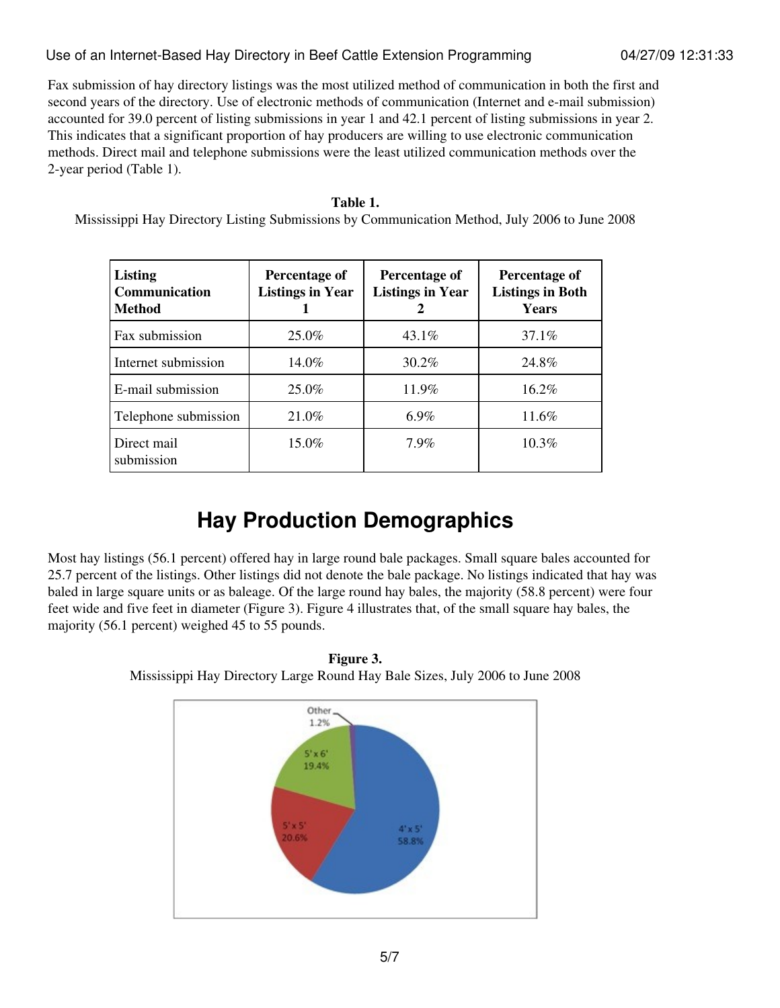#### Use of an Internet-Based Hay Directory in Beef Cattle Extension Programming 04/27/09 12:31:33

Fax submission of hay directory listings was the most utilized method of communication in both the first and second years of the directory. Use of electronic methods of communication (Internet and e-mail submission) accounted for 39.0 percent of listing submissions in year 1 and 42.1 percent of listing submissions in year 2. This indicates that a significant proportion of hay producers are willing to use electronic communication methods. Direct mail and telephone submissions were the least utilized communication methods over the 2-year period (Table 1).

#### **Table 1.**

Mississippi Hay Directory Listing Submissions by Communication Method, July 2006 to June 2008

| <b>Listing</b><br>Communication<br><b>Method</b> | Percentage of<br><b>Listings in Year</b> | Percentage of<br><b>Listings in Year</b> | Percentage of<br><b>Listings in Both</b><br><b>Years</b> |
|--------------------------------------------------|------------------------------------------|------------------------------------------|----------------------------------------------------------|
| Fax submission                                   | $25.0\%$                                 | $43.1\%$                                 | 37.1%                                                    |
| Internet submission                              | $14.0\%$                                 | $30.2\%$                                 | 24.8%                                                    |
| E-mail submission                                | $25.0\%$                                 | 11.9%                                    | 16.2%                                                    |
| Telephone submission                             | 21.0%                                    | $6.9\%$                                  | 11.6%                                                    |
| Direct mail<br>submission                        | $15.0\%$                                 | 7.9%                                     | $10.3\%$                                                 |

### **Hay Production Demographics**

Most hay listings (56.1 percent) offered hay in large round bale packages. Small square bales accounted for 25.7 percent of the listings. Other listings did not denote the bale package. No listings indicated that hay was baled in large square units or as baleage. Of the large round hay bales, the majority (58.8 percent) were four feet wide and five feet in diameter (Figure 3). Figure 4 illustrates that, of the small square hay bales, the majority (56.1 percent) weighed 45 to 55 pounds.



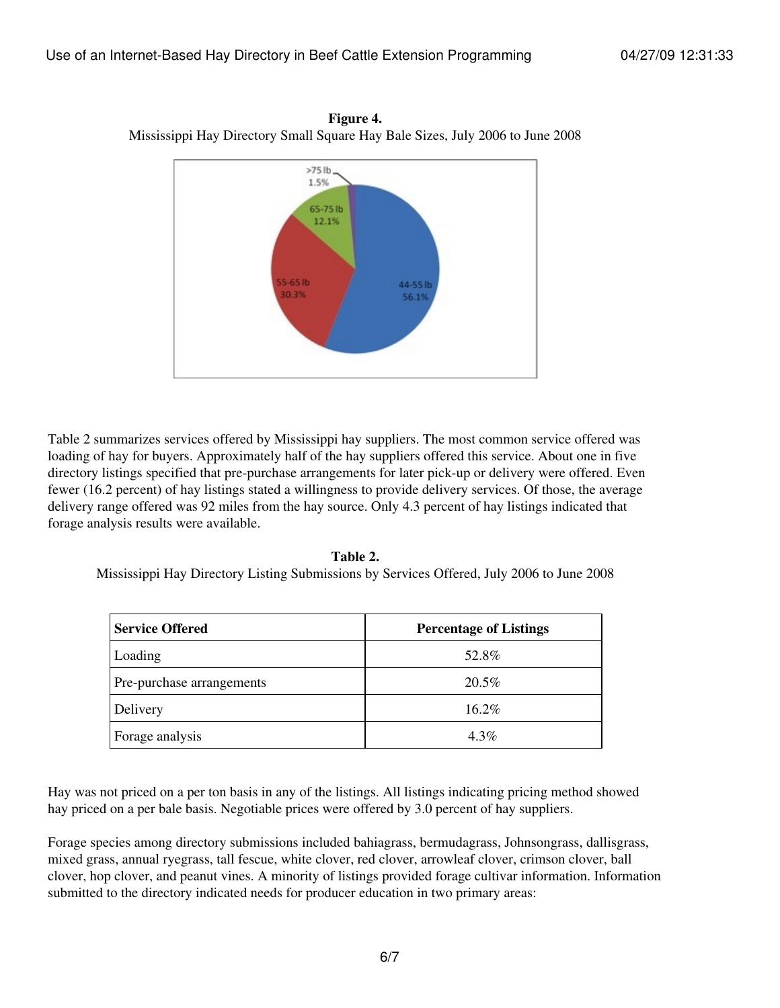

**Figure 4.** Mississippi Hay Directory Small Square Hay Bale Sizes, July 2006 to June 2008

Table 2 summarizes services offered by Mississippi hay suppliers. The most common service offered was loading of hay for buyers. Approximately half of the hay suppliers offered this service. About one in five directory listings specified that pre-purchase arrangements for later pick-up or delivery were offered. Even fewer (16.2 percent) of hay listings stated a willingness to provide delivery services. Of those, the average delivery range offered was 92 miles from the hay source. Only 4.3 percent of hay listings indicated that forage analysis results were available.

**Table 2.** Mississippi Hay Directory Listing Submissions by Services Offered, July 2006 to June 2008

| <b>Service Offered</b>    | <b>Percentage of Listings</b> |
|---------------------------|-------------------------------|
| Loading                   | 52.8%                         |
| Pre-purchase arrangements | $20.5\%$                      |
| Delivery                  | $16.2\%$                      |
| Forage analysis           | $4.3\%$                       |

#### Hay was not priced on a per ton basis in any of the listings. All listings indicating pricing method showed hay priced on a per bale basis. Negotiable prices were offered by 3.0 percent of hay suppliers.

Forage species among directory submissions included bahiagrass, bermudagrass, Johnsongrass, dallisgrass, mixed grass, annual ryegrass, tall fescue, white clover, red clover, arrowleaf clover, crimson clover, ball clover, hop clover, and peanut vines. A minority of listings provided forage cultivar information. Information submitted to the directory indicated needs for producer education in two primary areas: